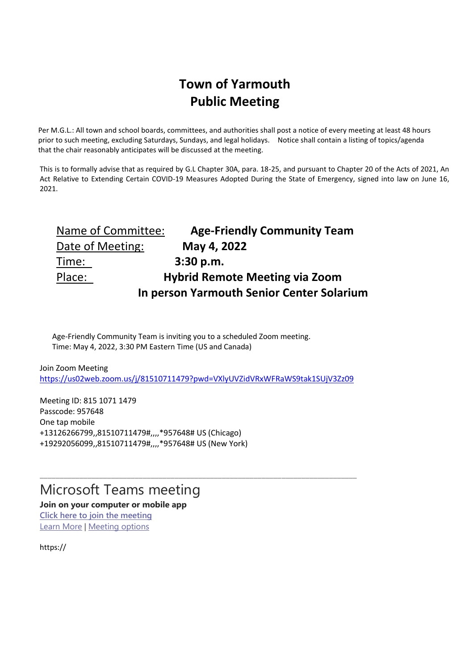## **Town of Yarmouth Public Meeting**

Per M.G.L.: All town and school boards, committees, and authorities shall post a notice of every meeting at least 48 hours prior to such meeting, excluding Saturdays, Sundays, and legal holidays. Notice shall contain a listing of topics/agenda that the chair reasonably anticipates will be discussed at the meeting.

This is to formally advise that as required by G.L Chapter 30A, para. 18-25, and pursuant to Chapter 20 of the Acts of 2021, An Act Relative to Extending Certain COVID-19 Measures Adopted During the State of Emergency, signed into law on June 16, 2021.

| Name of Committee:                        | <b>Age-Friendly Community Team</b>    |
|-------------------------------------------|---------------------------------------|
| Date of Meeting:                          | May 4, 2022                           |
| Time:                                     | 3:30 p.m.                             |
| Place:                                    | <b>Hybrid Remote Meeting via Zoom</b> |
| In person Yarmouth Senior Center Solarium |                                       |

Age-Friendly Community Team is inviting you to a scheduled Zoom meeting. Time: May 4, 2022, 3:30 PM Eastern Time (US and Canada)

Join Zoom Meeting <https://us02web.zoom.us/j/81510711479?pwd=VXlyUVZidVRxWFRaWS9tak1SUjV3Zz09>

\_\_\_\_\_\_\_\_\_\_\_\_\_\_\_\_\_\_\_\_\_\_\_\_\_\_\_\_\_\_\_\_\_\_\_\_\_\_\_\_\_\_\_\_\_\_\_\_\_\_\_\_\_\_\_\_\_\_\_\_\_\_\_\_\_\_\_\_\_\_\_\_\_\_\_\_\_\_\_\_

Meeting ID: 815 1071 1479 Passcode: 957648 One tap mobile +13126266799,,81510711479#,,,,\*957648# US (Chicago) +19292056099,,81510711479#,,,,\*957648# US (New York)

## Microsoft Teams meeting

**Join on your computer or mobile app [Click here to join the meeting](https://teams.microsoft.com/l/meetup-join/19%3ameeting_NzVhOWQxMDktN2M0Yi00ZmExLThkMTItZTliNWNjYmU0ODQz%40thread.v2/0?context=%7b%22Tid%22%3a%2273779272-8f73-4173-a73b-c729b0cfa802%22%2c%22Oid%22%3a%22102c5213-3f43-4234-bedf-4cf8421695a4%22%7d)** [Learn More](https://aka.ms/JoinTeamsMeeting) | [Meeting options](https://teams.microsoft.com/meetingOptions/?organizerId=102c5213-3f43-4234-bedf-4cf8421695a4&tenantId=73779272-8f73-4173-a73b-c729b0cfa802&threadId=19_meeting_NzVhOWQxMDktN2M0Yi00ZmExLThkMTItZTliNWNjYmU0ODQz@thread.v2&messageId=0&language=en-US)

https://